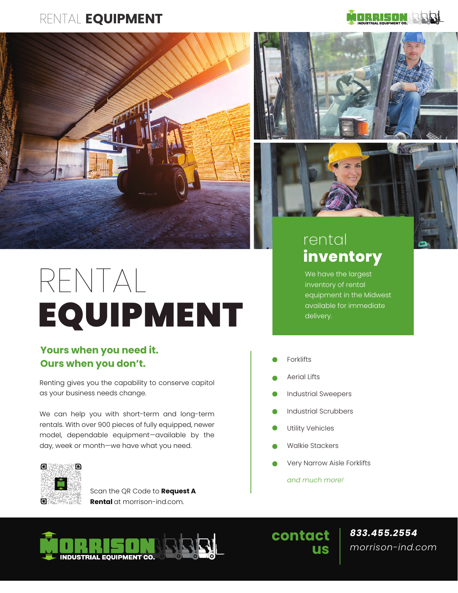## RENTAL **EQUIPMENT**



# RENTAL EQUIPMENT

### **Yours when you need it. Ours when you don't.**

Renting gives you the capability to conserve capitol as your business needs change.

We can help you with short-term and long-term rentals. With over 900 pieces of fully equipped, newer model, dependable equipment—available by the day, week or month—we have what you need.



Scan the QR Code to **Request A Rental** at morrison-ind.com.







# rental **inventory**

We have the largest inventory of rental equipment in the Midwest available for immediate delivery.

- Forklifts
- Aerial Lifts
- Industrial Sweepers
- Industrial Scrubbers
- Utility Vehicles
- Walkie Stackers
- Very Narrow Aisle Forklifts

*and much more!*



**contact us**

*833.455.2554 morrison-ind.com*